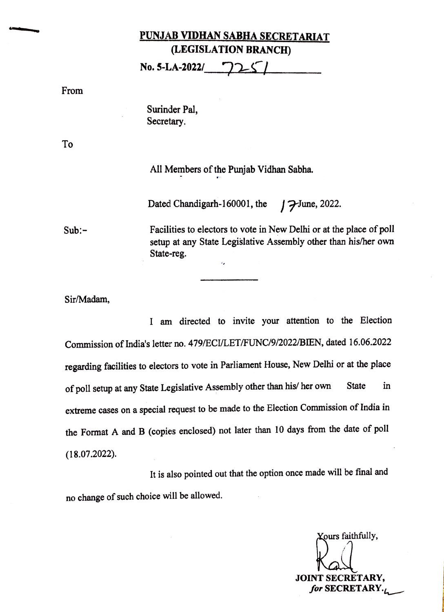## PUNJAB VIDHAN SABHA SECRETARIAT (LEGISLATION BRANCH)

No. 5-LA-2022/

From

Surinder Pal, Secretary.

To

All Members of the Punjab Vidhan Sabha.

Dated Chandigarh-160001, the  $\int \mathcal{F}$ June, 2022.

Sub:

Facilities to electors to vote in New Delhi or at the place of poll setup at any State Legislative Assembly other than his/her own State-reg.

Sir/Madam,

I am directed to invite your attention to the Election Commission of India's letter no. 479/ECVLET/FUNC/9/2022/BIEN, dated 16.06.2022 regarding facilities to electors to vote in Parliament House, New Delhi or at the place of poll setup at any State Legislative Assembly other than his/ her own State in extreme cases on a special request to be made to the Election Commission of India in the Format A and B (copies enclosed) not later than 10 days from the date of poll (18.07.2022)

It is also pointed out that the option once made will be final and no change of such choice will be allowed.

Xours faithfully, JOINT SECRETARY, for SECRETARY. $\mathcal{L}$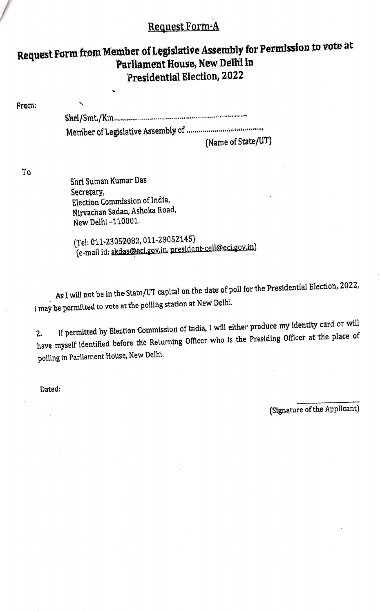## Request Form-A

## Request Form from Member of Legislative Assembly for Permission to vote at Parliament House, New Delhl in Presidential Election, 2022

From: Shri/Smt/Km. Member of Legislative Assembly of .

(Name of State/UT)

To

Shri Suman Kumar Das Secretary,<br>Election Commission of India, Nirvachan Sadan, Ashoka Road, New Delhi-110001.

(Tel: 011-23052082, 011-23052145) (e-mail id: skdas@ecigov.in, president-cell@eci.gov.in)

As I will not be in the State/UT capital on the date of poll for the Presidential Election, 2022, I may be permítted to vote at the polling station at New Delhi.

If permitted by Election Commission of India, I will either produce my identity card or will 2. If permitted by Election Commission of Hidia, I will clear present to the place of have myself identified before the Returning Officer who is the Presiding Officer at the place of polling in Parliament House, New Delhi.

Dated:

(Signature of the Applicant)